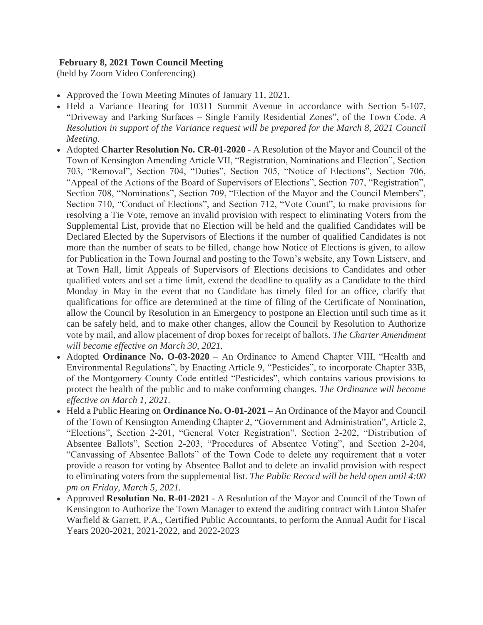## **February 8, 2021 Town Council Meeting**

(held by Zoom Video Conferencing)

- Approved the Town Meeting Minutes of January 11, 2021.
- Held a Variance Hearing for 10311 Summit Avenue in accordance with Section 5-107, "Driveway and Parking Surfaces – Single Family Residential Zones", of the Town Code. *A Resolution in support of the Variance request will be prepared for the March 8, 2021 Council Meeting.*
- Adopted **[Charter Resolution No. CR-01-2020](http://r20.rs6.net/tn.jsp?f=001ySPx9YzNcBeHvEKLzniRt2Hdj1X27wcYm_xWIn4vNM_W7JMbSkouALwjQvvueDtNC0uJ9vXJetIHJXEMFpOBGFXUxQj7Z38ZVv0i8Oe8WbT2F5ay6HxSr4FREW65sllgCpqj_ggQ7sczaZgdcEnFEWBGiKgM7GyV7FCBq0GXwK-B4iwSLmfdCufj4DZQuJm9NvstqEF-KGI=&c=NPWBAE3_A6sEjdBtmmIn4J-9g9RJuVVcW3zGQMQeCS6HObL7OeFjbg==&ch=YVvdjaPAvzELQeudIKSVj9kUT9Af-FoTg2WhWOFm9QXdi8mrE47E5w==)** A Resolution of the Mayor and Council of the Town of Kensington Amending Article VII, "Registration, Nominations and Election", Section 703, "Removal", Section 704, "Duties", Section 705, "Notice of Elections", Section 706, "Appeal of the Actions of the Board of Supervisors of Elections", Section 707, "Registration", Section 708, "Nominations", Section 709, "Election of the Mayor and the Council Members", Section 710, "Conduct of Elections", and Section 712, "Vote Count", to make provisions for resolving a Tie Vote, remove an invalid provision with respect to eliminating Voters from the Supplemental List, provide that no Election will be held and the qualified Candidates will be Declared Elected by the Supervisors of Elections if the number of qualified Candidates is not more than the number of seats to be filled, change how Notice of Elections is given, to allow for Publication in the Town Journal and posting to the Town's website, any Town Listserv, and at Town Hall, limit Appeals of Supervisors of Elections decisions to Candidates and other qualified voters and set a time limit, extend the deadline to qualify as a Candidate to the third Monday in May in the event that no Candidate has timely filed for an office, clarify that qualifications for office are determined at the time of filing of the Certificate of Nomination, allow the Council by Resolution in an Emergency to postpone an Election until such time as it can be safely held, and to make other changes, allow the Council by Resolution to Authorize vote by mail, and allow placement of drop boxes for receipt of ballots. *The Charter Amendment will become effective on March 30, 2021.*
- Adopted **[Ordinance No. O-03-2020](http://r20.rs6.net/tn.jsp?f=001ySPx9YzNcBeHvEKLzniRt2Hdj1X27wcYm_xWIn4vNM_W7JMbSkouALwjQvvueDtN5_-FAdogYsc6RWQLNJqwc62VPZWMPBp-Osv_FkQU2q276OUAmZgRHXW2h6dsXl31qpVnXAHTu4fhxz99NzInSk6HqXf7ec4a13wLEf6D7VFj3ZVVfIfuV23KV_zhaiJu&c=NPWBAE3_A6sEjdBtmmIn4J-9g9RJuVVcW3zGQMQeCS6HObL7OeFjbg==&ch=YVvdjaPAvzELQeudIKSVj9kUT9Af-FoTg2WhWOFm9QXdi8mrE47E5w==)** An Ordinance to Amend Chapter VIII, "Health and Environmental Regulations", by Enacting Article 9, "Pesticides", to incorporate Chapter 33B, of the Montgomery County Code entitled "Pesticides", which contains various provisions to protect the health of the public and to make conforming changes. *The Ordinance will become effective on March 1, 2021.*
- Held a Public Hearing on **Ordinance No. O-01-2021** An Ordinance of the Mayor and Council of the Town of Kensington Amending Chapter 2, "Government and Administration", Article 2, "Elections", Section 2-201, "General Voter Registration", Section 2-202, "Distribution of Absentee Ballots", Section 2-203, "Procedures of Absentee Voting", and Section 2-204, "Canvassing of Absentee Ballots" of the Town Code to delete any requirement that a voter provide a reason for voting by Absentee Ballot and to delete an invalid provision with respect to eliminating voters from the supplemental list. *The Public Record will be held open until 4:00 pm on Friday, March 5, 2021.*
- Approved **Resolution No. R-01-2021** A Resolution of the Mayor and Council of the Town of Kensington to Authorize the Town Manager to extend the auditing contract with Linton Shafer Warfield & Garrett, P.A., Certified Public Accountants, to perform the Annual Audit for Fiscal Years 2020-2021, 2021-2022, and 2022-2023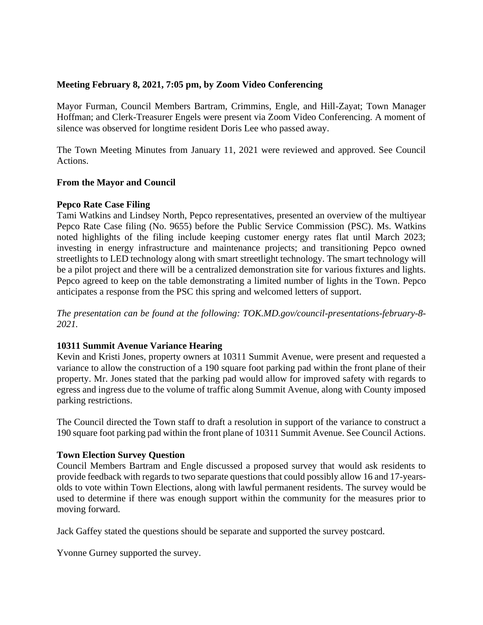### **Meeting February 8, 2021, 7:05 pm, by Zoom Video Conferencing**

Mayor Furman, Council Members Bartram, Crimmins, Engle, and Hill-Zayat; Town Manager Hoffman; and Clerk-Treasurer Engels were present via Zoom Video Conferencing. A moment of silence was observed for longtime resident Doris Lee who passed away.

The Town Meeting Minutes from January 11, 2021 were reviewed and approved. See Council Actions.

## **From the Mayor and Council**

### **Pepco Rate Case Filing**

Tami Watkins and Lindsey North, Pepco representatives, presented an overview of the multiyear Pepco Rate Case filing (No. 9655) before the Public Service Commission (PSC). Ms. Watkins noted highlights of the filing include keeping customer energy rates flat until March 2023; investing in energy infrastructure and maintenance projects; and transitioning Pepco owned streetlights to LED technology along with smart streetlight technology. The smart technology will be a pilot project and there will be a centralized demonstration site for various fixtures and lights. Pepco agreed to keep on the table demonstrating a limited number of lights in the Town. Pepco anticipates a response from the PSC this spring and welcomed letters of support.

*The presentation can be found at the following: TOK.MD.gov/council-presentations-february-8- 2021.*

### **10311 Summit Avenue Variance Hearing**

Kevin and Kristi Jones, property owners at 10311 Summit Avenue, were present and requested a variance to allow the construction of a 190 square foot parking pad within the front plane of their property. Mr. Jones stated that the parking pad would allow for improved safety with regards to egress and ingress due to the volume of traffic along Summit Avenue, along with County imposed parking restrictions.

The Council directed the Town staff to draft a resolution in support of the variance to construct a 190 square foot parking pad within the front plane of 10311 Summit Avenue. See Council Actions.

### **Town Election Survey Question**

Council Members Bartram and Engle discussed a proposed survey that would ask residents to provide feedback with regards to two separate questions that could possibly allow 16 and 17-yearsolds to vote within Town Elections, along with lawful permanent residents. The survey would be used to determine if there was enough support within the community for the measures prior to moving forward.

Jack Gaffey stated the questions should be separate and supported the survey postcard.

Yvonne Gurney supported the survey.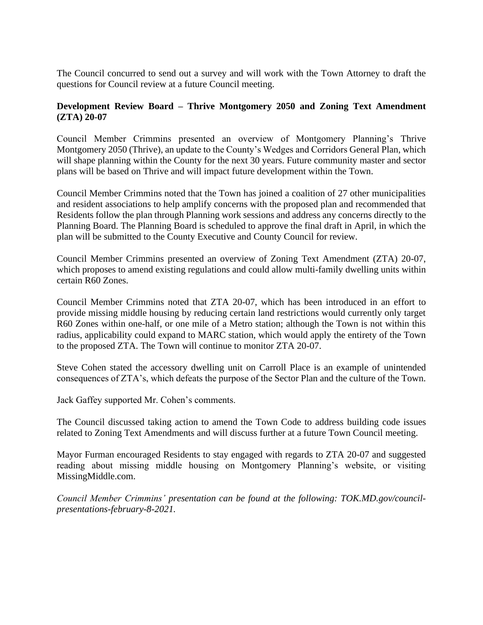The Council concurred to send out a survey and will work with the Town Attorney to draft the questions for Council review at a future Council meeting.

# **Development Review Board – Thrive Montgomery 2050 and Zoning Text Amendment (ZTA) 20-07**

Council Member Crimmins presented an overview of Montgomery Planning's Thrive Montgomery 2050 (Thrive), an update to the County's Wedges and Corridors General Plan, which will shape planning within the County for the next 30 years. Future community master and sector plans will be based on Thrive and will impact future development within the Town.

Council Member Crimmins noted that the Town has joined a coalition of 27 other municipalities and resident associations to help amplify concerns with the proposed plan and recommended that Residents follow the plan through Planning work sessions and address any concerns directly to the Planning Board. The Planning Board is scheduled to approve the final draft in April, in which the plan will be submitted to the County Executive and County Council for review.

Council Member Crimmins presented an overview of Zoning Text Amendment (ZTA) 20-07, which proposes to amend existing regulations and could allow multi-family dwelling units within certain R60 Zones.

Council Member Crimmins noted that ZTA 20-07, which has been introduced in an effort to provide missing middle housing by reducing certain land restrictions would currently only target R60 Zones within one-half, or one mile of a Metro station; although the Town is not within this radius, applicability could expand to MARC station, which would apply the entirety of the Town to the proposed ZTA. The Town will continue to monitor ZTA 20-07.

Steve Cohen stated the accessory dwelling unit on Carroll Place is an example of unintended consequences of ZTA's, which defeats the purpose of the Sector Plan and the culture of the Town.

Jack Gaffey supported Mr. Cohen's comments.

The Council discussed taking action to amend the Town Code to address building code issues related to Zoning Text Amendments and will discuss further at a future Town Council meeting.

Mayor Furman encouraged Residents to stay engaged with regards to ZTA 20-07 and suggested reading about missing middle housing on Montgomery Planning's website, or visiting MissingMiddle.com.

*Council Member Crimmins' presentation can be found at the following: TOK.MD.gov/councilpresentations-february-8-2021.*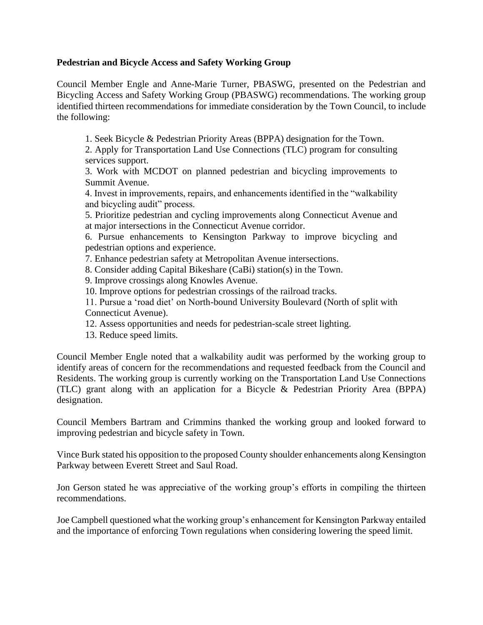## **Pedestrian and Bicycle Access and Safety Working Group**

Council Member Engle and Anne-Marie Turner, PBASWG, presented on the Pedestrian and Bicycling Access and Safety Working Group (PBASWG) recommendations. The working group identified thirteen recommendations for immediate consideration by the Town Council, to include the following:

1. Seek Bicycle & Pedestrian Priority Areas (BPPA) designation for the Town.

2. Apply for Transportation Land Use Connections (TLC) program for consulting services support.

3. Work with MCDOT on planned pedestrian and bicycling improvements to Summit Avenue.

4. Invest in improvements, repairs, and enhancements identified in the "walkability and bicycling audit" process.

5. Prioritize pedestrian and cycling improvements along Connecticut Avenue and at major intersections in the Connecticut Avenue corridor.

6. Pursue enhancements to Kensington Parkway to improve bicycling and pedestrian options and experience.

7. Enhance pedestrian safety at Metropolitan Avenue intersections.

8. Consider adding Capital Bikeshare (CaBi) station(s) in the Town.

9. Improve crossings along Knowles Avenue.

10. Improve options for pedestrian crossings of the railroad tracks.

11. Pursue a 'road diet' on North-bound University Boulevard (North of split with Connecticut Avenue).

12. Assess opportunities and needs for pedestrian-scale street lighting.

13. Reduce speed limits.

Council Member Engle noted that a walkability audit was performed by the working group to identify areas of concern for the recommendations and requested feedback from the Council and Residents. The working group is currently working on the Transportation Land Use Connections (TLC) grant along with an application for a Bicycle & Pedestrian Priority Area (BPPA) designation.

Council Members Bartram and Crimmins thanked the working group and looked forward to improving pedestrian and bicycle safety in Town.

Vince Burk stated his opposition to the proposed County shoulder enhancements along Kensington Parkway between Everett Street and Saul Road.

Jon Gerson stated he was appreciative of the working group's efforts in compiling the thirteen recommendations.

Joe Campbell questioned what the working group's enhancement for Kensington Parkway entailed and the importance of enforcing Town regulations when considering lowering the speed limit.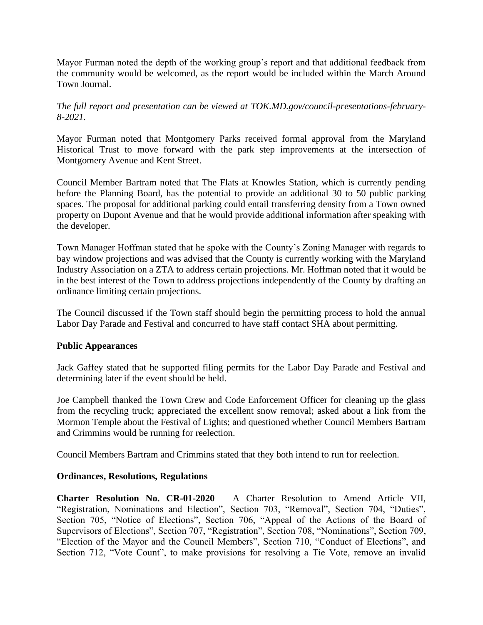Mayor Furman noted the depth of the working group's report and that additional feedback from the community would be welcomed, as the report would be included within the March Around Town Journal.

*The full report and presentation can be viewed at TOK.MD.gov/council-presentations-february-8-2021.*

Mayor Furman noted that Montgomery Parks received formal approval from the Maryland Historical Trust to move forward with the park step improvements at the intersection of Montgomery Avenue and Kent Street.

Council Member Bartram noted that The Flats at Knowles Station, which is currently pending before the Planning Board, has the potential to provide an additional 30 to 50 public parking spaces. The proposal for additional parking could entail transferring density from a Town owned property on Dupont Avenue and that he would provide additional information after speaking with the developer.

Town Manager Hoffman stated that he spoke with the County's Zoning Manager with regards to bay window projections and was advised that the County is currently working with the Maryland Industry Association on a ZTA to address certain projections. Mr. Hoffman noted that it would be in the best interest of the Town to address projections independently of the County by drafting an ordinance limiting certain projections.

The Council discussed if the Town staff should begin the permitting process to hold the annual Labor Day Parade and Festival and concurred to have staff contact SHA about permitting.

### **Public Appearances**

Jack Gaffey stated that he supported filing permits for the Labor Day Parade and Festival and determining later if the event should be held.

Joe Campbell thanked the Town Crew and Code Enforcement Officer for cleaning up the glass from the recycling truck; appreciated the excellent snow removal; asked about a link from the Mormon Temple about the Festival of Lights; and questioned whether Council Members Bartram and Crimmins would be running for reelection.

Council Members Bartram and Crimmins stated that they both intend to run for reelection.

### **Ordinances, Resolutions, Regulations**

**Charter Resolution No. CR-01-2020** – A Charter Resolution to Amend Article VII, "Registration, Nominations and Election", Section 703, "Removal", Section 704, "Duties", Section 705, "Notice of Elections", Section 706, "Appeal of the Actions of the Board of Supervisors of Elections", Section 707, "Registration", Section 708, "Nominations", Section 709, "Election of the Mayor and the Council Members", Section 710, "Conduct of Elections", and Section 712, "Vote Count", to make provisions for resolving a Tie Vote, remove an invalid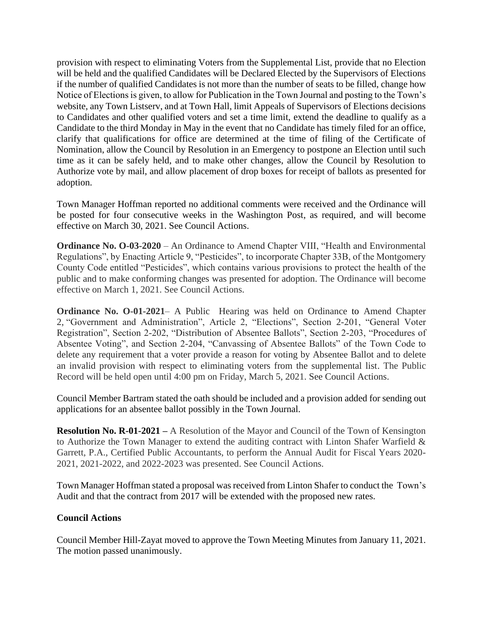provision with respect to eliminating Voters from the Supplemental List, provide that no Election will be held and the qualified Candidates will be Declared Elected by the Supervisors of Elections if the number of qualified Candidates is not more than the number of seats to be filled, change how Notice of Elections is given, to allow for Publication in the Town Journal and posting to the Town's website, any Town Listserv, and at Town Hall, limit Appeals of Supervisors of Elections decisions to Candidates and other qualified voters and set a time limit, extend the deadline to qualify as a Candidate to the third Monday in May in the event that no Candidate has timely filed for an office, clarify that qualifications for office are determined at the time of filing of the Certificate of Nomination, allow the Council by Resolution in an Emergency to postpone an Election until such time as it can be safely held, and to make other changes, allow the Council by Resolution to Authorize vote by mail, and allow placement of drop boxes for receipt of ballots as presented for adoption.

Town Manager Hoffman reported no additional comments were received and the Ordinance will be posted for four consecutive weeks in the Washington Post, as required, and will become effective on March 30, 2021. See Council Actions.

**[Ordinance No. O-03-2020](http://r20.rs6.net/tn.jsp?f=001ySPx9YzNcBeHvEKLzniRt2Hdj1X27wcYm_xWIn4vNM_W7JMbSkouALwjQvvueDtN5_-FAdogYsc6RWQLNJqwc62VPZWMPBp-Osv_FkQU2q276OUAmZgRHXW2h6dsXl31qpVnXAHTu4fhxz99NzInSk6HqXf7ec4a13wLEf6D7VFj3ZVVfIfuV23KV_zhaiJu&c=NPWBAE3_A6sEjdBtmmIn4J-9g9RJuVVcW3zGQMQeCS6HObL7OeFjbg==&ch=YVvdjaPAvzELQeudIKSVj9kUT9Af-FoTg2WhWOFm9QXdi8mrE47E5w==)** – An Ordinance to Amend Chapter VIII, "Health and Environmental Regulations", by Enacting Article 9, "Pesticides", to incorporate Chapter 33B, of the Montgomery County Code entitled "Pesticides", which contains various provisions to protect the health of the public and to make conforming changes was presented for adoption. The Ordinance will become effective on March 1, 2021. See Council Actions.

**Ordinance No. O-01-2021**– A Public Hearing was held on Ordinance to Amend Chapter 2, "Government and Administration", Article 2, "Elections", Section 2-201, "General Voter Registration", Section 2-202, "Distribution of Absentee Ballots", Section 2-203, "Procedures of Absentee Voting", and Section 2-204, "Canvassing of Absentee Ballots" of the Town Code to delete any requirement that a voter provide a reason for voting by Absentee Ballot and to delete an invalid provision with respect to eliminating voters from the supplemental list. The Public Record will be held open until 4:00 pm on Friday, March 5, 2021. See Council Actions.

Council Member Bartram stated the oath should be included and a provision added for sending out applications for an absentee ballot possibly in the Town Journal.

**Resolution No. R-01-2021 –** A Resolution of the Mayor and Council of the Town of Kensington to Authorize the Town Manager to extend the auditing contract with Linton Shafer Warfield & Garrett, P.A., Certified Public Accountants, to perform the Annual Audit for Fiscal Years 2020- 2021, 2021-2022, and 2022-2023 was presented. See Council Actions.

Town Manager Hoffman stated a proposal was received from Linton Shafer to conduct the Town's Audit and that the contract from 2017 will be extended with the proposed new rates.

# **Council Actions**

Council Member Hill-Zayat moved to approve the Town Meeting Minutes from January 11, 2021. The motion passed unanimously.